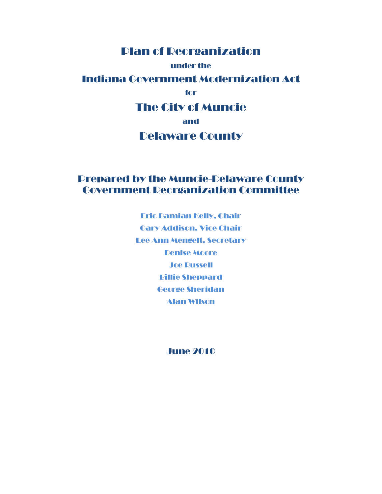# Plan of Reorganization

#### under the

### Indiana Government Modernization Act

#### for

### The City of Muncie

#### and

### Delaware County

### Prepared by the Muncie-Delaware County Government Reorganization Committee

Eric Damian Kelly, Chair Gary Addison, Vice Chair Lee Ann Mengelt, Secretary Denise Moore Joe Russell Billie Sheppard George Sheridan Alan Wilson

#### June 2010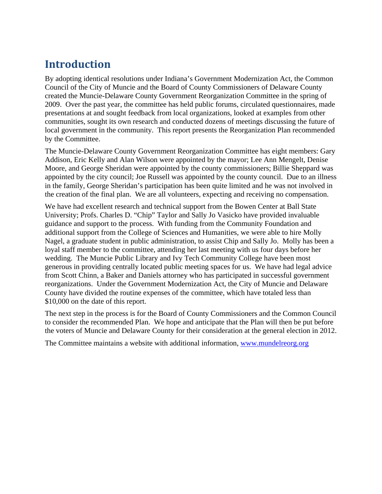# **Introduction**

By adopting identical resolutions under Indiana's Government Modernization Act, the Common Council of the City of Muncie and the Board of County Commissioners of Delaware County created the Muncie-Delaware County Government Reorganization Committee in the spring of 2009. Over the past year, the committee has held public forums, circulated questionnaires, made presentations at and sought feedback from local organizations, looked at examples from other communities, sought its own research and conducted dozens of meetings discussing the future of local government in the community. This report presents the Reorganization Plan recommended by the Committee.

The Muncie-Delaware County Government Reorganization Committee has eight members: Gary Addison, Eric Kelly and Alan Wilson were appointed by the mayor; Lee Ann Mengelt, Denise Moore, and George Sheridan were appointed by the county commissioners; Billie Sheppard was appointed by the city council; Joe Russell was appointed by the county council. Due to an illness in the family, George Sheridan's participation has been quite limited and he was not involved in the creation of the final plan. We are all volunteers, expecting and receiving no compensation.

We have had excellent research and technical support from the Bowen Center at Ball State University; Profs. Charles D. "Chip" Taylor and Sally Jo Vasicko have provided invaluable guidance and support to the process. With funding from the Community Foundation and additional support from the College of Sciences and Humanities, we were able to hire Molly Nagel, a graduate student in public administration, to assist Chip and Sally Jo. Molly has been a loyal staff member to the committee, attending her last meeting with us four days before her wedding. The Muncie Public Library and Ivy Tech Community College have been most generous in providing centrally located public meeting spaces for us. We have had legal advice from Scott Chinn, a Baker and Daniels attorney who has participated in successful government reorganizations. Under the Government Modernization Act, the City of Muncie and Delaware County have divided the routine expenses of the committee, which have totaled less than \$10,000 on the date of this report.

The next step in the process is for the Board of County Commissioners and the Common Council to consider the recommended Plan. We hope and anticipate that the Plan will then be put before the voters of Muncie and Delaware County for their consideration at the general election in 2012.

The Committee maintains a website with additional information, www.mundelreorg.org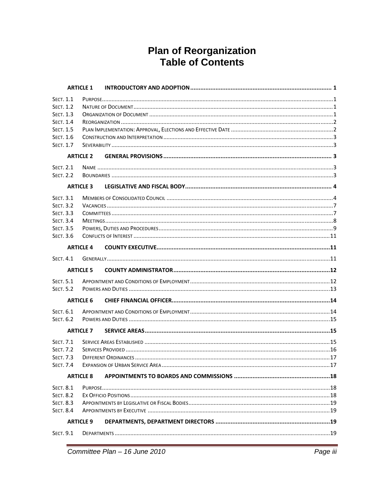# **Plan of Reorganization<br>Table of Contents**

|                  | <b>ARTICLE 1</b> |  |
|------------------|------------------|--|
| <b>SECT. 1.1</b> |                  |  |
| <b>SECT. 1.2</b> |                  |  |
| <b>SECT. 1.3</b> |                  |  |
| <b>SECT. 1.4</b> |                  |  |
| <b>SECT. 1.5</b> |                  |  |
| <b>SECT. 1.6</b> |                  |  |
| <b>SECT. 1.7</b> |                  |  |
|                  | <b>ARTICLE 2</b> |  |
| <b>SECT. 2.1</b> |                  |  |
| <b>SECT. 2.2</b> |                  |  |
|                  | <b>ARTICLE 3</b> |  |
| <b>SECT. 3.1</b> |                  |  |
| <b>SECT. 3.2</b> |                  |  |
| <b>SECT. 3.3</b> |                  |  |
| <b>SECT. 3.4</b> |                  |  |
| <b>SECT. 3.5</b> |                  |  |
| <b>SECT. 3.6</b> |                  |  |
|                  | <b>ARTICLE 4</b> |  |
| <b>SECT. 4.1</b> |                  |  |
|                  | <b>ARTICLE 5</b> |  |
| <b>SECT. 5.1</b> |                  |  |
| <b>SECT. 5.2</b> |                  |  |
|                  | <b>ARTICLE 6</b> |  |
| SECT. 6.1        |                  |  |
| <b>SECT. 6.2</b> |                  |  |
|                  | <b>ARTICLE 7</b> |  |
| <b>SECT. 7.1</b> |                  |  |
| <b>SECT. 7.2</b> |                  |  |
| <b>SECT. 7.3</b> |                  |  |
| <b>SECT. 7.4</b> |                  |  |
|                  | <b>ARTICLE 8</b> |  |
| <b>SECT. 8.1</b> |                  |  |
| <b>SECT. 8.2</b> |                  |  |
| <b>SECT. 8.3</b> |                  |  |
| <b>SECT. 8.4</b> |                  |  |
| <b>ARTICLE 9</b> |                  |  |
| <b>SECT. 9.1</b> |                  |  |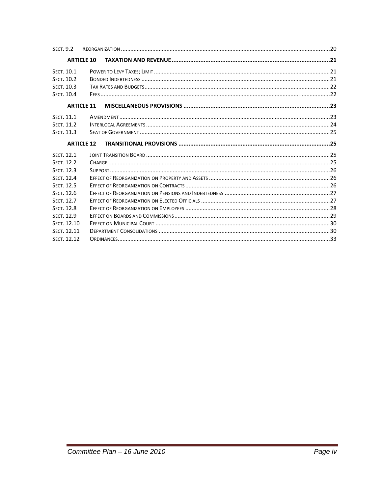| <b>SECT. 9.2</b>  |                   |                                                          |  |
|-------------------|-------------------|----------------------------------------------------------|--|
|                   | <b>ARTICLE 10</b> | TAXATION AND REVENUE ………………………………………………………………………………………21 |  |
| SECT. 10.1        |                   |                                                          |  |
| SECT. 10.2        |                   |                                                          |  |
| <b>SECT. 10.3</b> |                   |                                                          |  |
| SECT. 10.4        |                   |                                                          |  |
|                   | <b>ARTICLE 11</b> |                                                          |  |
| SECT. 11.1        |                   |                                                          |  |
| SECT. 11.2        |                   |                                                          |  |
| SECT. 11.3        |                   |                                                          |  |
|                   | <b>ARTICLE 12</b> |                                                          |  |
|                   |                   |                                                          |  |
| SECT. 12.1        |                   |                                                          |  |
| <b>SECT. 12.2</b> |                   |                                                          |  |
| <b>SECT. 12.3</b> |                   |                                                          |  |
| SECT. 12.4        |                   |                                                          |  |
| <b>SECT. 12.5</b> |                   |                                                          |  |
| SECT. 12.6        |                   |                                                          |  |
| <b>SECT. 12.7</b> |                   |                                                          |  |
| <b>SECT. 12.8</b> |                   |                                                          |  |
| SECT. 12.9        |                   |                                                          |  |
| SECT. 12.10       |                   |                                                          |  |
| SECT. 12.11       |                   |                                                          |  |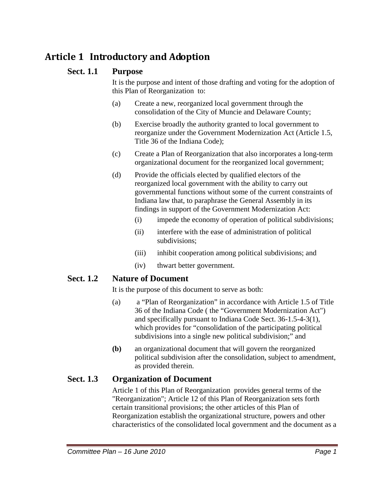# **Article 1 Introductory and Adoption**

### **Sect. 1.1 Purpose**

It is the purpose and intent of those drafting and voting for the adoption of this Plan of Reorganization to:

- (a) Create a new, reorganized local government through the consolidation of the City of Muncie and Delaware County;
- (b) Exercise broadly the authority granted to local government to reorganize under the Government Modernization Act (Article 1.5, Title 36 of the Indiana Code);
- (c) Create a Plan of Reorganization that also incorporates a long-term organizational document for the reorganized local government;
- (d) Provide the officials elected by qualified electors of the reorganized local government with the ability to carry out governmental functions without some of the current constraints of Indiana law that, to paraphrase the General Assembly in its findings in support of the Government Modernization Act:
	- (i) impede the economy of operation of political subdivisions;
	- (ii) interfere with the ease of administration of political subdivisions;
	- (iii) inhibit cooperation among political subdivisions; and
	- (iv) thwart better government.

### **Sect. 1.2 Nature of Document**

It is the purpose of this document to serve as both:

- (a) a "Plan of Reorganization" in accordance with Article 1.5 of Title 36 of the Indiana Code ( the "Government Modernization Act") and specifically pursuant to Indiana Code Sect. 36-1.5-4-3(1), which provides for "consolidation of the participating political subdivisions into a single new political subdivision;" and
- **(b)** an organizational document that will govern the reorganized political subdivision after the consolidation, subject to amendment, as provided therein.

### **Sect. 1.3 Organization of Document**

Article 1 of this Plan of Reorganization provides general terms of the "Reorganization"; Article 12 of this Plan of Reorganization sets forth certain transitional provisions; the other articles of this Plan of Reorganization establish the organizational structure, powers and other characteristics of the consolidated local government and the document as a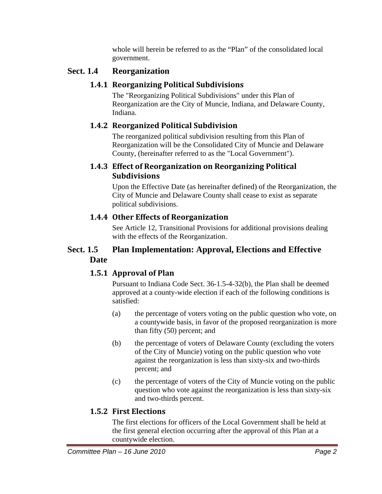whole will herein be referred to as the "Plan" of the consolidated local government.

### **Sect. 1.4 Reorganization**

### **1.4.1 Reorganizing Political Subdivisions**

The "Reorganizing Political Subdivisions" under this Plan of Reorganization are the City of Muncie, Indiana, and Delaware County, Indiana.

### **1.4.2 Reorganized Political Subdivision**

The reorganized political subdivision resulting from this Plan of Reorganization will be the Consolidated City of Muncie and Delaware County, (hereinafter referred to as the "Local Government").

### **1.4.3 Effect of Reorganization on Reorganizing Political Subdivisions**

Upon the Effective Date (as hereinafter defined) of the Reorganization, the City of Muncie and Delaware County shall cease to exist as separate political subdivisions.

### **1.4.4 Other Effects of Reorganization**

See Article 12, Transitional Provisions for additional provisions dealing with the effects of the Reorganization.

### **Sect. 1.5 Plan Implementation: Approval, Elections and Effective Date**

### **1.5.1 Approval of Plan**

Pursuant to Indiana Code Sect. 36-1.5-4-32(b), the Plan shall be deemed approved at a county-wide election if each of the following conditions is satisfied:

- (a) the percentage of voters voting on the public question who vote, on a countywide basis, in favor of the proposed reorganization is more than fifty (50) percent; and
- (b) the percentage of voters of Delaware County (excluding the voters of the City of Muncie) voting on the public question who vote against the reorganization is less than sixty-six and two-thirds percent; and
- (c) the percentage of voters of the City of Muncie voting on the public question who vote against the reorganization is less than sixty-six and two-thirds percent.

### **1.5.2 First Elections**

The first elections for officers of the Local Government shall be held at the first general election occurring after the approval of this Plan at a countywide election.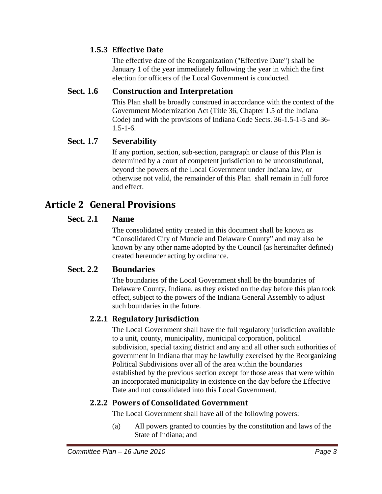### **1.5.3 Effective Date**

The effective date of the Reorganization ("Effective Date") shall be January 1 of the year immediately following the year in which the first election for officers of the Local Government is conducted.

### **Sect. 1.6 Construction and Interpretation**

This Plan shall be broadly construed in accordance with the context of the Government Modernization Act (Title 36, Chapter 1.5 of the Indiana Code) and with the provisions of Indiana Code Sects. 36-1.5-1-5 and 36-  $1.5 - 1 - 6.$ 

### **Sect. 1.7 Severability**

If any portion, section, sub-section, paragraph or clause of this Plan is determined by a court of competent jurisdiction to be unconstitutional, beyond the powers of the Local Government under Indiana law, or otherwise not valid, the remainder of this Plan shall remain in full force and effect.

# **Article 2 General Provisions**

### **Sect. 2.1 Name**

The consolidated entity created in this document shall be known as "Consolidated City of Muncie and Delaware County" and may also be known by any other name adopted by the Council (as hereinafter defined) created hereunder acting by ordinance.

#### **Sect. 2.2 Boundaries**

The boundaries of the Local Government shall be the boundaries of Delaware County, Indiana, as they existed on the day before this plan took effect, subject to the powers of the Indiana General Assembly to adjust such boundaries in the future.

### **2.2.1 Regulatory Jurisdiction**

The Local Government shall have the full regulatory jurisdiction available to a unit, county, municipality, municipal corporation, political subdivision, special taxing district and any and all other such authorities of government in Indiana that may be lawfully exercised by the Reorganizing Political Subdivisions over all of the area within the boundaries established by the previous section except for those areas that were within an incorporated municipality in existence on the day before the Effective Date and not consolidated into this Local Government.

#### **2.2.2 Powers of Consolidated Government**

The Local Government shall have all of the following powers:

(a) All powers granted to counties by the constitution and laws of the State of Indiana; and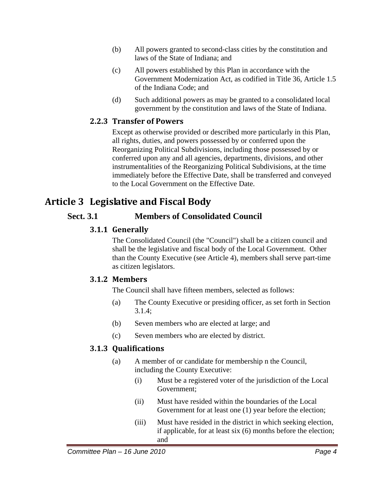- (b) All powers granted to second-class cities by the constitution and laws of the State of Indiana; and
- (c) All powers established by this Plan in accordance with the Government Modernization Act, as codified in Title 36, Article 1.5 of the Indiana Code; and
- (d) Such additional powers as may be granted to a consolidated local government by the constitution and laws of the State of Indiana.

### **2.2.3 Transfer of Powers**

Except as otherwise provided or described more particularly in this Plan, all rights, duties, and powers possessed by or conferred upon the Reorganizing Political Subdivisions, including those possessed by or conferred upon any and all agencies, departments, divisions, and other instrumentalities of the Reorganizing Political Subdivisions, at the time immediately before the Effective Date, shall be transferred and conveyed to the Local Government on the Effective Date.

# **Article 3 Legislative and Fiscal Body**

### **Sect. 3.1 Members of Consolidated Council**

### **3.1.1 Generally**

The Consolidated Council (the "Council") shall be a citizen council and shall be the legislative and fiscal body of the Local Government. Other than the County Executive (see Article 4), members shall serve part-time as citizen legislators.

### **3.1.2 Members**

The Council shall have fifteen members, selected as follows:

- (a) The County Executive or presiding officer, as set forth in Section 3.1.4;
- (b) Seven members who are elected at large; and
- (c) Seven members who are elected by district.

### **3.1.3 Qualifications**

- (a) A member of or candidate for membership n the Council, including the County Executive:
	- (i) Must be a registered voter of the jurisdiction of the Local Government;
	- (ii) Must have resided within the boundaries of the Local Government for at least one (1) year before the election;
	- (iii) Must have resided in the district in which seeking election, if applicable, for at least six (6) months before the election; and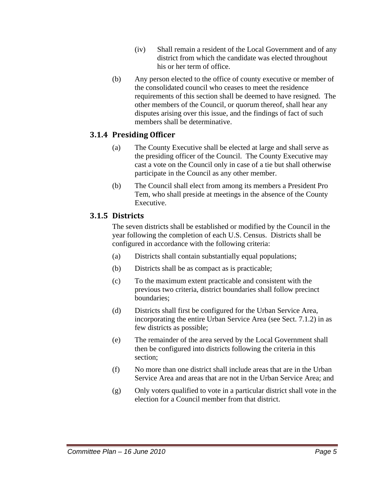- (iv) Shall remain a resident of the Local Government and of any district from which the candidate was elected throughout his or her term of office.
- (b) Any person elected to the office of county executive or member of the consolidated council who ceases to meet the residence requirements of this section shall be deemed to have resigned. The other members of the Council, or quorum thereof, shall hear any disputes arising over this issue, and the findings of fact of such members shall be determinative.

#### **3.1.4 Presiding Officer**

- (a) The County Executive shall be elected at large and shall serve as the presiding officer of the Council. The County Executive may cast a vote on the Council only in case of a tie but shall otherwise participate in the Council as any other member.
- (b) The Council shall elect from among its members a President Pro Tem, who shall preside at meetings in the absence of the County Executive.

#### **3.1.5 Districts**

The seven districts shall be established or modified by the Council in the year following the completion of each U.S. Census. Districts shall be configured in accordance with the following criteria:

- (a) Districts shall contain substantially equal populations;
- (b) Districts shall be as compact as is practicable;
- (c) To the maximum extent practicable and consistent with the previous two criteria, district boundaries shall follow precinct boundaries;
- (d) Districts shall first be configured for the Urban Service Area, incorporating the entire Urban Service Area (see Sect. 7.1.2) in as few districts as possible;
- (e) The remainder of the area served by the Local Government shall then be configured into districts following the criteria in this section;
- (f) No more than one district shall include areas that are in the Urban Service Area and areas that are not in the Urban Service Area; and
- (g) Only voters qualified to vote in a particular district shall vote in the election for a Council member from that district.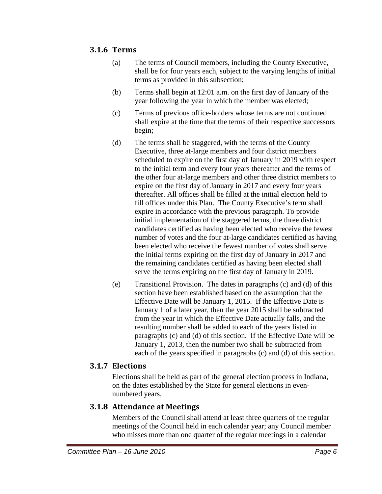### **3.1.6 Terms**

- (a) The terms of Council members, including the County Executive, shall be for four years each, subject to the varying lengths of initial terms as provided in this subsection;
- (b) Terms shall begin at 12:01 a.m. on the first day of January of the year following the year in which the member was elected;
- (c) Terms of previous office-holders whose terms are not continued shall expire at the time that the terms of their respective successors begin;
- (d) The terms shall be staggered, with the terms of the County Executive, three at-large members and four district members scheduled to expire on the first day of January in 2019 with respect to the initial term and every four years thereafter and the terms of the other four at-large members and other three district members to expire on the first day of January in 2017 and every four years thereafter. All offices shall be filled at the initial election held to fill offices under this Plan. The County Executive's term shall expire in accordance with the previous paragraph. To provide initial implementation of the staggered terms, the three district candidates certified as having been elected who receive the fewest number of votes and the four at-large candidates certified as having been elected who receive the fewest number of votes shall serve the initial terms expiring on the first day of January in 2017 and the remaining candidates certified as having been elected shall serve the terms expiring on the first day of January in 2019.
- (e) Transitional Provision. The dates in paragraphs (c) and (d) of this section have been established based on the assumption that the Effective Date will be January 1, 2015. If the Effective Date is January 1 of a later year, then the year 2015 shall be subtracted from the year in which the Effective Date actually falls, and the resulting number shall be added to each of the years listed in paragraphs (c) and (d) of this section. If the Effective Date will be January 1, 2013, then the number two shall be subtracted from each of the years specified in paragraphs (c) and (d) of this section.

#### **3.1.7 Elections**

Elections shall be held as part of the general election process in Indiana, on the dates established by the State for general elections in evennumbered years.

#### **3.1.8 Attendance at Meetings**

Members of the Council shall attend at least three quarters of the regular meetings of the Council held in each calendar year; any Council member who misses more than one quarter of the regular meetings in a calendar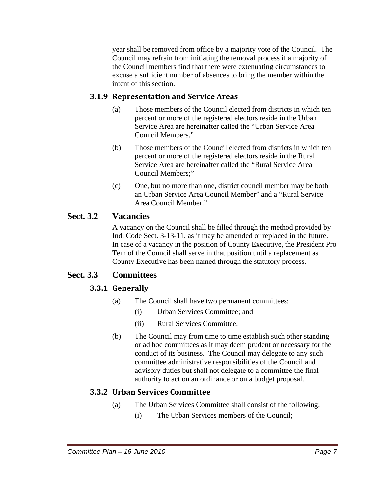year shall be removed from office by a majority vote of the Council. The Council may refrain from initiating the removal process if a majority of the Council members find that there were extenuating circumstances to excuse a sufficient number of absences to bring the member within the intent of this section.

### **3.1.9 Representation and Service Areas**

- (a) Those members of the Council elected from districts in which ten percent or more of the registered electors reside in the Urban Service Area are hereinafter called the "Urban Service Area Council Members."
- (b) Those members of the Council elected from districts in which ten percent or more of the registered electors reside in the Rural Service Area are hereinafter called the "Rural Service Area Council Members;"
- (c) One, but no more than one, district council member may be both an Urban Service Area Council Member" and a "Rural Service Area Council Member."

### **Sect. 3.2 Vacancies**

A vacancy on the Council shall be filled through the method provided by Ind. Code Sect. 3-13-11, as it may be amended or replaced in the future. In case of a vacancy in the position of County Executive, the President Pro Tem of the Council shall serve in that position until a replacement as County Executive has been named through the statutory process.

### **Sect. 3.3 Committees**

### **3.3.1 Generally**

- (a) The Council shall have two permanent committees:
	- (i) Urban Services Committee; and
	- (ii) Rural Services Committee.
- (b) The Council may from time to time establish such other standing or ad hoc committees as it may deem prudent or necessary for the conduct of its business. The Council may delegate to any such committee administrative responsibilities of the Council and advisory duties but shall not delegate to a committee the final authority to act on an ordinance or on a budget proposal.

### **3.3.2 Urban Services Committee**

- (a) The Urban Services Committee shall consist of the following:
	- (i) The Urban Services members of the Council;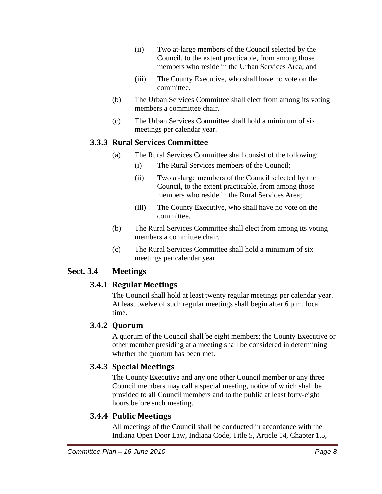- (ii) Two at-large members of the Council selected by the Council, to the extent practicable, from among those members who reside in the Urban Services Area; and
- (iii) The County Executive, who shall have no vote on the committee.
- (b) The Urban Services Committee shall elect from among its voting members a committee chair.
- (c) The Urban Services Committee shall hold a minimum of six meetings per calendar year.

#### **3.3.3 Rural Services Committee**

- (a) The Rural Services Committee shall consist of the following:
	- (i) The Rural Services members of the Council;
	- (ii) Two at-large members of the Council selected by the Council, to the extent practicable, from among those members who reside in the Rural Services Area;
	- (iii) The County Executive, who shall have no vote on the committee.
- (b) The Rural Services Committee shall elect from among its voting members a committee chair.
- (c) The Rural Services Committee shall hold a minimum of six meetings per calendar year.

### **Sect. 3.4 Meetings**

### **3.4.1 Regular Meetings**

The Council shall hold at least twenty regular meetings per calendar year. At least twelve of such regular meetings shall begin after 6 p.m. local time.

### **3.4.2 Quorum**

A quorum of the Council shall be eight members; the County Executive or other member presiding at a meeting shall be considered in determining whether the quorum has been met.

### **3.4.3 Special Meetings**

The County Executive and any one other Council member or any three Council members may call a special meeting, notice of which shall be provided to all Council members and to the public at least forty-eight hours before such meeting.

### **3.4.4 Public Meetings**

All meetings of the Council shall be conducted in accordance with the Indiana Open Door Law, Indiana Code, Title 5, Article 14, Chapter 1.5,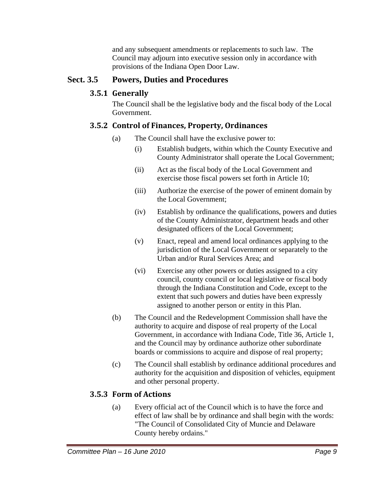and any subsequent amendments or replacements to such law. The Council may adjourn into executive session only in accordance with provisions of the Indiana Open Door Law.

### **Sect. 3.5 Powers, Duties and Procedures**

### **3.5.1 Generally**

The Council shall be the legislative body and the fiscal body of the Local Government.

### **3.5.2 Control of Finances, Property, Ordinances**

- (a) The Council shall have the exclusive power to:
	- (i) Establish budgets, within which the County Executive and County Administrator shall operate the Local Government;
	- (ii) Act as the fiscal body of the Local Government and exercise those fiscal powers set forth in Article 10;
	- (iii) Authorize the exercise of the power of eminent domain by the Local Government;
	- (iv) Establish by ordinance the qualifications, powers and duties of the County Administrator, department heads and other designated officers of the Local Government;
	- (v) Enact, repeal and amend local ordinances applying to the jurisdiction of the Local Government or separately to the Urban and/or Rural Services Area; and
	- (vi) Exercise any other powers or duties assigned to a city council, county council or local legislative or fiscal body through the Indiana Constitution and Code, except to the extent that such powers and duties have been expressly assigned to another person or entity in this Plan.
- (b) The Council and the Redevelopment Commission shall have the authority to acquire and dispose of real property of the Local Government, in accordance with Indiana Code, Title 36, Article 1, and the Council may by ordinance authorize other subordinate boards or commissions to acquire and dispose of real property;
- (c) The Council shall establish by ordinance additional procedures and authority for the acquisition and disposition of vehicles, equipment and other personal property.

### **3.5.3 Form of Actions**

(a) Every official act of the Council which is to have the force and effect of law shall be by ordinance and shall begin with the words: "The Council of Consolidated City of Muncie and Delaware County hereby ordains."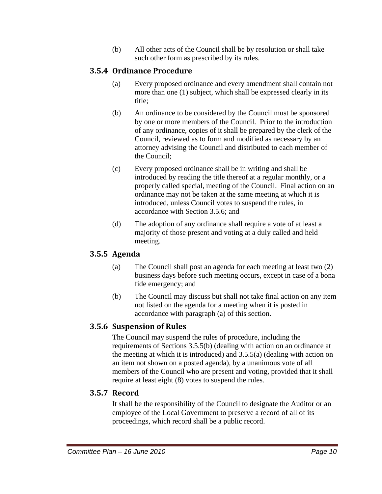(b) All other acts of the Council shall be by resolution or shall take such other form as prescribed by its rules.

### **3.5.4 Ordinance Procedure**

- (a) Every proposed ordinance and every amendment shall contain not more than one (1) subject, which shall be expressed clearly in its title;
- (b) An ordinance to be considered by the Council must be sponsored by one or more members of the Council. Prior to the introduction of any ordinance, copies of it shall be prepared by the clerk of the Council, reviewed as to form and modified as necessary by an attorney advising the Council and distributed to each member of the Council;
- (c) Every proposed ordinance shall be in writing and shall be introduced by reading the title thereof at a regular monthly, or a properly called special, meeting of the Council. Final action on an ordinance may not be taken at the same meeting at which it is introduced, unless Council votes to suspend the rules, in accordance with Section 3.5.6; and
- (d) The adoption of any ordinance shall require a vote of at least a majority of those present and voting at a duly called and held meeting.

#### **3.5.5 Agenda**

- (a) The Council shall post an agenda for each meeting at least two (2) business days before such meeting occurs, except in case of a bona fide emergency; and
- (b) The Council may discuss but shall not take final action on any item not listed on the agenda for a meeting when it is posted in accordance with paragraph (a) of this section.

#### **3.5.6 Suspension of Rules**

The Council may suspend the rules of procedure, including the requirements of Sections 3.5.5(b) (dealing with action on an ordinance at the meeting at which it is introduced) and 3.5.5(a) (dealing with action on an item not shown on a posted agenda), by a unanimous vote of all members of the Council who are present and voting, provided that it shall require at least eight (8) votes to suspend the rules.

#### **3.5.7 Record**

It shall be the responsibility of the Council to designate the Auditor or an employee of the Local Government to preserve a record of all of its proceedings, which record shall be a public record.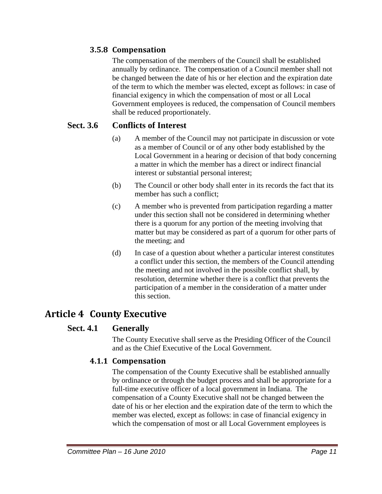### **3.5.8 Compensation**

The compensation of the members of the Council shall be established annually by ordinance. The compensation of a Council member shall not be changed between the date of his or her election and the expiration date of the term to which the member was elected, except as follows: in case of financial exigency in which the compensation of most or all Local Government employees is reduced, the compensation of Council members shall be reduced proportionately.

### **Sect. 3.6 Conflicts of Interest**

- (a) A member of the Council may not participate in discussion or vote as a member of Council or of any other body established by the Local Government in a hearing or decision of that body concerning a matter in which the member has a direct or indirect financial interest or substantial personal interest;
- (b) The Council or other body shall enter in its records the fact that its member has such a conflict;
- (c) A member who is prevented from participation regarding a matter under this section shall not be considered in determining whether there is a quorum for any portion of the meeting involving that matter but may be considered as part of a quorum for other parts of the meeting; and
- (d) In case of a question about whether a particular interest constitutes a conflict under this section, the members of the Council attending the meeting and not involved in the possible conflict shall, by resolution, determine whether there is a conflict that prevents the participation of a member in the consideration of a matter under this section.

# **Article 4 County Executive**

### **Sect. 4.1 Generally**

The County Executive shall serve as the Presiding Officer of the Council and as the Chief Executive of the Local Government.

### **4.1.1 Compensation**

The compensation of the County Executive shall be established annually by ordinance or through the budget process and shall be appropriate for a full-time executive officer of a local government in Indiana. The compensation of a County Executive shall not be changed between the date of his or her election and the expiration date of the term to which the member was elected, except as follows: in case of financial exigency in which the compensation of most or all Local Government employees is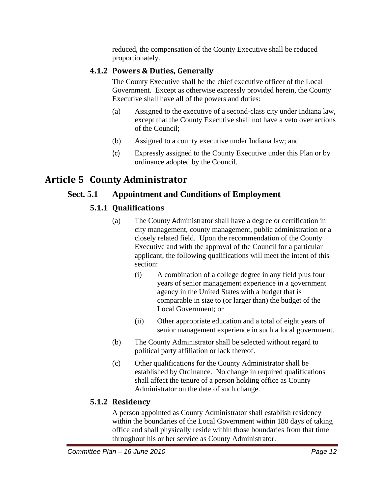reduced, the compensation of the County Executive shall be reduced proportionately.

### **4.1.2 Powers & Duties, Generally**

The County Executive shall be the chief executive officer of the Local Government. Except as otherwise expressly provided herein, the County Executive shall have all of the powers and duties:

- (a) Assigned to the executive of a second-class city under Indiana law, except that the County Executive shall not have a veto over actions of the Council;
- (b) Assigned to a county executive under Indiana law; and
- (c) Expressly assigned to the County Executive under this Plan or by ordinance adopted by the Council.

# **Article 5 County Administrator**

### **Sect. 5.1 Appointment and Conditions of Employment**

### **5.1.1 Qualifications**

- (a) The County Administrator shall have a degree or certification in city management, county management, public administration or a closely related field. Upon the recommendation of the County Executive and with the approval of the Council for a particular applicant, the following qualifications will meet the intent of this section:
	- (i) A combination of a college degree in any field plus four years of senior management experience in a government agency in the United States with a budget that is comparable in size to (or larger than) the budget of the Local Government; or
	- (ii) Other appropriate education and a total of eight years of senior management experience in such a local government.
- (b) The County Administrator shall be selected without regard to political party affiliation or lack thereof.
- (c) Other qualifications for the County Administrator shall be established by Ordinance. No change in required qualifications shall affect the tenure of a person holding office as County Administrator on the date of such change.

### **5.1.2 Residency**

A person appointed as County Administrator shall establish residency within the boundaries of the Local Government within 180 days of taking office and shall physically reside within those boundaries from that time throughout his or her service as County Administrator.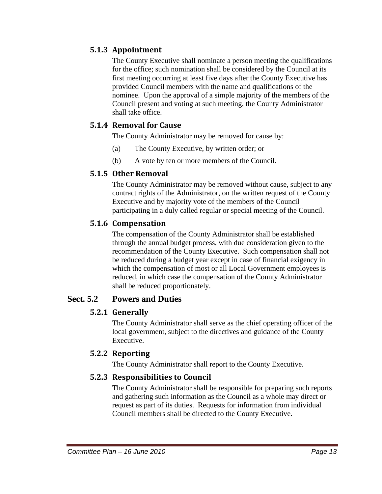### **5.1.3 Appointment**

The County Executive shall nominate a person meeting the qualifications for the office; such nomination shall be considered by the Council at its first meeting occurring at least five days after the County Executive has provided Council members with the name and qualifications of the nominee. Upon the approval of a simple majority of the members of the Council present and voting at such meeting, the County Administrator shall take office.

### **5.1.4 Removal for Cause**

The County Administrator may be removed for cause by:

- (a) The County Executive, by written order; or
- (b) A vote by ten or more members of the Council.

#### **5.1.5 Other Removal**

The County Administrator may be removed without cause, subject to any contract rights of the Administrator, on the written request of the County Executive and by majority vote of the members of the Council participating in a duly called regular or special meeting of the Council.

#### **5.1.6 Compensation**

The compensation of the County Administrator shall be established through the annual budget process, with due consideration given to the recommendation of the County Executive. Such compensation shall not be reduced during a budget year except in case of financial exigency in which the compensation of most or all Local Government employees is reduced, in which case the compensation of the County Administrator shall be reduced proportionately.

### **Sect. 5.2 Powers and Duties**

### **5.2.1 Generally**

The County Administrator shall serve as the chief operating officer of the local government, subject to the directives and guidance of the County Executive.

### **5.2.2 Reporting**

The County Administrator shall report to the County Executive.

### **5.2.3 Responsibilities to Council**

The County Administrator shall be responsible for preparing such reports and gathering such information as the Council as a whole may direct or request as part of its duties. Requests for information from individual Council members shall be directed to the County Executive.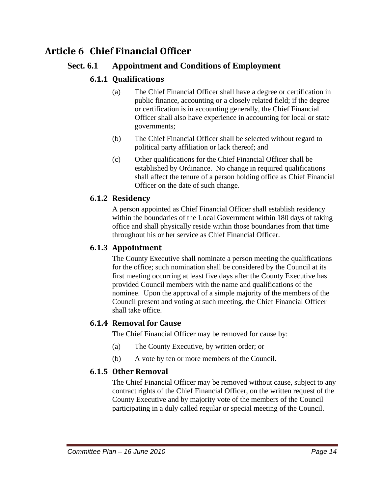# **Article 6 Chief Financial Officer**

### **Sect. 6.1 Appointment and Conditions of Employment**

### **6.1.1 Qualifications**

- (a) The Chief Financial Officer shall have a degree or certification in public finance, accounting or a closely related field; if the degree or certification is in accounting generally, the Chief Financial Officer shall also have experience in accounting for local or state governments;
- (b) The Chief Financial Officer shall be selected without regard to political party affiliation or lack thereof; and
- (c) Other qualifications for the Chief Financial Officer shall be established by Ordinance. No change in required qualifications shall affect the tenure of a person holding office as Chief Financial Officer on the date of such change.

#### **6.1.2 Residency**

A person appointed as Chief Financial Officer shall establish residency within the boundaries of the Local Government within 180 days of taking office and shall physically reside within those boundaries from that time throughout his or her service as Chief Financial Officer.

#### **6.1.3 Appointment**

The County Executive shall nominate a person meeting the qualifications for the office; such nomination shall be considered by the Council at its first meeting occurring at least five days after the County Executive has provided Council members with the name and qualifications of the nominee. Upon the approval of a simple majority of the members of the Council present and voting at such meeting, the Chief Financial Officer shall take office.

#### **6.1.4 Removal for Cause**

The Chief Financial Officer may be removed for cause by:

- (a) The County Executive, by written order; or
- (b) A vote by ten or more members of the Council.

#### **6.1.5 Other Removal**

The Chief Financial Officer may be removed without cause, subject to any contract rights of the Chief Financial Officer, on the written request of the County Executive and by majority vote of the members of the Council participating in a duly called regular or special meeting of the Council.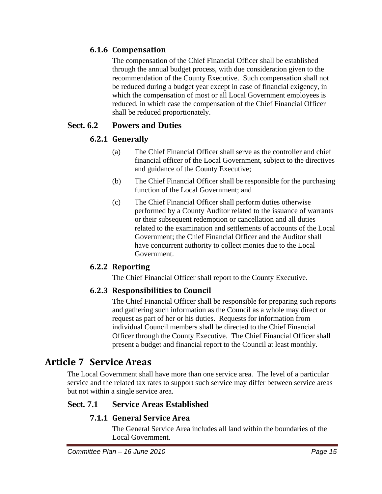### **6.1.6 Compensation**

The compensation of the Chief Financial Officer shall be established through the annual budget process, with due consideration given to the recommendation of the County Executive. Such compensation shall not be reduced during a budget year except in case of financial exigency, in which the compensation of most or all Local Government employees is reduced, in which case the compensation of the Chief Financial Officer shall be reduced proportionately.

### **Sect. 6.2 Powers and Duties**

### **6.2.1 Generally**

- (a) The Chief Financial Officer shall serve as the controller and chief financial officer of the Local Government, subject to the directives and guidance of the County Executive;
- (b) The Chief Financial Officer shall be responsible for the purchasing function of the Local Government; and
- (c) The Chief Financial Officer shall perform duties otherwise performed by a County Auditor related to the issuance of warrants or their subsequent redemption or cancellation and all duties related to the examination and settlements of accounts of the Local Government; the Chief Financial Officer and the Auditor shall have concurrent authority to collect monies due to the Local Government.

#### **6.2.2 Reporting**

The Chief Financial Officer shall report to the County Executive.

#### **6.2.3 Responsibilities to Council**

The Chief Financial Officer shall be responsible for preparing such reports and gathering such information as the Council as a whole may direct or request as part of her or his duties. Requests for information from individual Council members shall be directed to the Chief Financial Officer through the County Executive. The Chief Financial Officer shall present a budget and financial report to the Council at least monthly.

### **Article 7 Service Areas**

The Local Government shall have more than one service area. The level of a particular service and the related tax rates to support such service may differ between service areas but not within a single service area.

### **Sect. 7.1 Service Areas Established**

#### **7.1.1 General Service Area**

The General Service Area includes all land within the boundaries of the Local Government.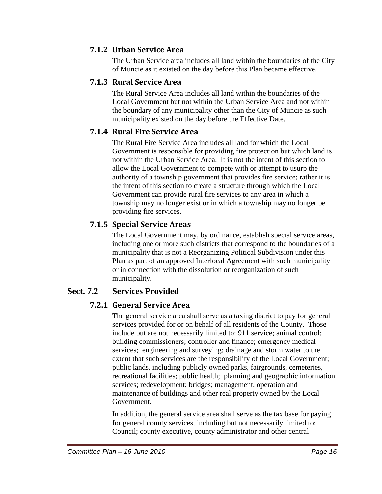### **7.1.2 Urban Service Area**

The Urban Service area includes all land within the boundaries of the City of Muncie as it existed on the day before this Plan became effective.

### **7.1.3 Rural Service Area**

The Rural Service Area includes all land within the boundaries of the Local Government but not within the Urban Service Area and not within the boundary of any municipality other than the City of Muncie as such municipality existed on the day before the Effective Date.

### **7.1.4 Rural Fire Service Area**

The Rural Fire Service Area includes all land for which the Local Government is responsible for providing fire protection but which land is not within the Urban Service Area. It is not the intent of this section to allow the Local Government to compete with or attempt to usurp the authority of a township government that provides fire service; rather it is the intent of this section to create a structure through which the Local Government can provide rural fire services to any area in which a township may no longer exist or in which a township may no longer be providing fire services.

### **7.1.5 Special Service Areas**

The Local Government may, by ordinance, establish special service areas, including one or more such districts that correspond to the boundaries of a municipality that is not a Reorganizing Political Subdivision under this Plan as part of an approved Interlocal Agreement with such municipality or in connection with the dissolution or reorganization of such municipality.

### **Sect. 7.2 Services Provided**

### **7.2.1 General Service Area**

The general service area shall serve as a taxing district to pay for general services provided for or on behalf of all residents of the County. Those include but are not necessarily limited to: 911 service; animal control; building commissioners; controller and finance; emergency medical services; engineering and surveying; drainage and storm water to the extent that such services are the responsibility of the Local Government; public lands, including publicly owned parks, fairgrounds, cemeteries, recreational facilities; public health; planning and geographic information services; redevelopment; bridges; management, operation and maintenance of buildings and other real property owned by the Local Government.

In addition, the general service area shall serve as the tax base for paying for general county services, including but not necessarily limited to: Council; county executive, county administrator and other central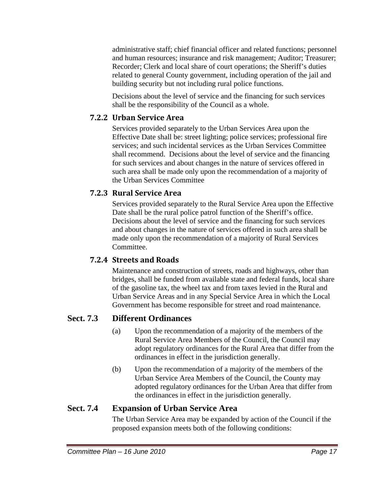administrative staff; chief financial officer and related functions; personnel and human resources; insurance and risk management; Auditor; Treasurer; Recorder; Clerk and local share of court operations; the Sheriff's duties related to general County government, including operation of the jail and building security but not including rural police functions.

Decisions about the level of service and the financing for such services shall be the responsibility of the Council as a whole.

### **7.2.2 Urban Service Area**

Services provided separately to the Urban Services Area upon the Effective Date shall be: street lighting; police services; professional fire services; and such incidental services as the Urban Services Committee shall recommend. Decisions about the level of service and the financing for such services and about changes in the nature of services offered in such area shall be made only upon the recommendation of a majority of the Urban Services Committee

### **7.2.3 Rural Service Area**

Services provided separately to the Rural Service Area upon the Effective Date shall be the rural police patrol function of the Sheriff's office. Decisions about the level of service and the financing for such services and about changes in the nature of services offered in such area shall be made only upon the recommendation of a majority of Rural Services Committee.

### **7.2.4 Streets and Roads**

Maintenance and construction of streets, roads and highways, other than bridges, shall be funded from available state and federal funds, local share of the gasoline tax, the wheel tax and from taxes levied in the Rural and Urban Service Areas and in any Special Service Area in which the Local Government has become responsible for street and road maintenance.

### **Sect. 7.3 Different Ordinances**

- (a) Upon the recommendation of a majority of the members of the Rural Service Area Members of the Council, the Council may adopt regulatory ordinances for the Rural Area that differ from the ordinances in effect in the jurisdiction generally.
- (b) Upon the recommendation of a majority of the members of the Urban Service Area Members of the Council, the County may adopted regulatory ordinances for the Urban Area that differ from the ordinances in effect in the jurisdiction generally.

### **Sect. 7.4 Expansion of Urban Service Area**

The Urban Service Area may be expanded by action of the Council if the proposed expansion meets both of the following conditions: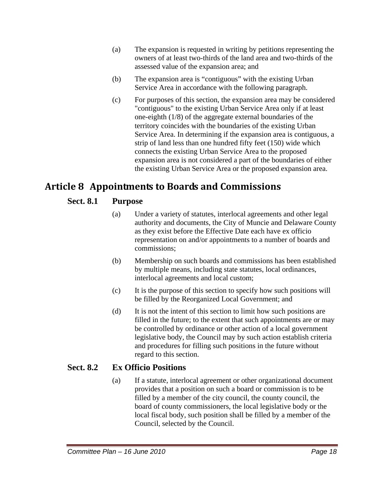- (a) The expansion is requested in writing by petitions representing the owners of at least two-thirds of the land area and two-thirds of the assessed value of the expansion area; and
- (b) The expansion area is "contiguous" with the existing Urban Service Area in accordance with the following paragraph.
- (c) For purposes of this section, the expansion area may be considered "contiguous" to the existing Urban Service Area only if at least one-eighth (1/8) of the aggregate external boundaries of the territory coincides with the boundaries of the existing Urban Service Area. In determining if the expansion area is contiguous, a strip of land less than one hundred fifty feet (150) wide which connects the existing Urban Service Area to the proposed expansion area is not considered a part of the boundaries of either the existing Urban Service Area or the proposed expansion area.

# **Article 8 Appointments to Boards and Commissions**

### **Sect. 8.1 Purpose**

- (a) Under a variety of statutes, interlocal agreements and other legal authority and documents, the City of Muncie and Delaware County as they exist before the Effective Date each have ex officio representation on and/or appointments to a number of boards and commissions;
- (b) Membership on such boards and commissions has been established by multiple means, including state statutes, local ordinances, interlocal agreements and local custom;
- (c) It is the purpose of this section to specify how such positions will be filled by the Reorganized Local Government; and
- (d) It is not the intent of this section to limit how such positions are filled in the future; to the extent that such appointments are or may be controlled by ordinance or other action of a local government legislative body, the Council may by such action establish criteria and procedures for filling such positions in the future without regard to this section.

### **Sect. 8.2 Ex Officio Positions**

(a) If a statute, interlocal agreement or other organizational document provides that a position on such a board or commission is to be filled by a member of the city council, the county council, the board of county commissioners, the local legislative body or the local fiscal body, such position shall be filled by a member of the Council, selected by the Council.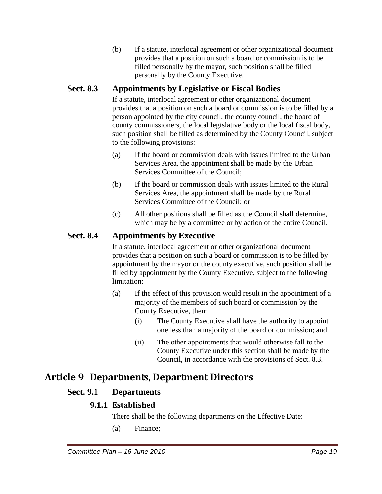(b) If a statute, interlocal agreement or other organizational document provides that a position on such a board or commission is to be filled personally by the mayor, such position shall be filled personally by the County Executive.

### **Sect. 8.3 Appointments by Legislative or Fiscal Bodies**

If a statute, interlocal agreement or other organizational document provides that a position on such a board or commission is to be filled by a person appointed by the city council, the county council, the board of county commissioners, the local legislative body or the local fiscal body, such position shall be filled as determined by the County Council, subject to the following provisions:

- (a) If the board or commission deals with issues limited to the Urban Services Area, the appointment shall be made by the Urban Services Committee of the Council;
- (b) If the board or commission deals with issues limited to the Rural Services Area, the appointment shall be made by the Rural Services Committee of the Council; or
- (c) All other positions shall be filled as the Council shall determine, which may be by a committee or by action of the entire Council.

### **Sect. 8.4 Appointments by Executive**

If a statute, interlocal agreement or other organizational document provides that a position on such a board or commission is to be filled by appointment by the mayor or the county executive, such position shall be filled by appointment by the County Executive, subject to the following limitation:

- (a) If the effect of this provision would result in the appointment of a majority of the members of such board or commission by the County Executive, then:
	- (i) The County Executive shall have the authority to appoint one less than a majority of the board or commission; and
	- (ii) The other appointments that would otherwise fall to the County Executive under this section shall be made by the Council, in accordance with the provisions of Sect. 8.3.

# **Article 9 Departments, Department Directors**

### **Sect. 9.1 Departments**

### **9.1.1 Established**

There shall be the following departments on the Effective Date:

(a) Finance;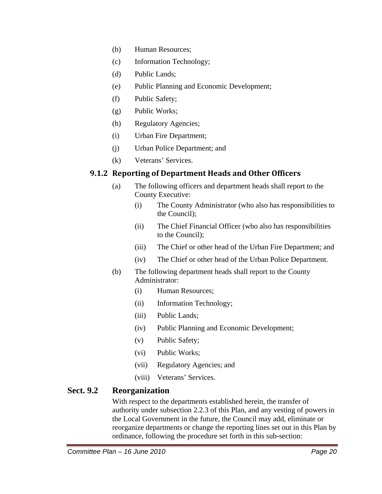- (b) Human Resources;
- (c) Information Technology;
- (d) Public Lands;
- (e) Public Planning and Economic Development;
- (f) Public Safety;
- (g) Public Works;
- (h) Regulatory Agencies;
- (i) Urban Fire Department;
- (j) Urban Police Department; and
- (k) Veterans' Services.

### **9.1.2 Reporting of Department Heads and Other Officers**

- (a) The following officers and department heads shall report to the County Executive:
	- (i) The County Administrator (who also has responsibilities to the Council);
	- (ii) The Chief Financial Officer (who also has responsibilities to the Council);
	- (iii) The Chief or other head of the Urban Fire Department; and
	- (iv) The Chief or other head of the Urban Police Department.
- (b) The following department heads shall report to the County Administrator:
	- (i) Human Resources;
	- (ii) Information Technology;
	- (iii) Public Lands;
	- (iv) Public Planning and Economic Development;
	- (v) Public Safety;
	- (vi) Public Works;
	- (vii) Regulatory Agencies; and
	- (viii) Veterans' Services.

### **Sect. 9.2 Reorganization**

With respect to the departments established herein, the transfer of authority under subsection 2.2.3 of this Plan, and any vesting of powers in the Local Government in the future, the Council may add, eliminate or reorganize departments or change the reporting lines set out in this Plan by ordinance, following the procedure set forth in this sub-section: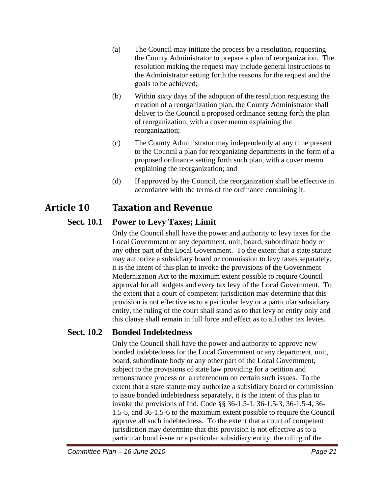- (a) The Council may initiate the process by a resolution, requesting the County Administrator to prepare a plan of reorganization. The resolution making the request may include general instructions to the Administrator setting forth the reasons for the request and the goals to be achieved;
- (b) Within sixty days of the adoption of the resolution requesting the creation of a reorganization plan, the County Administrator shall deliver to the Council a proposed ordinance setting forth the plan of reorganization, with a cover memo explaining the reorganization;
- (c) The County Administrator may independently at any time present to the Council a plan for reorganizing departments in the form of a proposed ordinance setting forth such plan, with a cover memo explaining the reorganization; and
- (d) If approved by the Council, the reorganization shall be effective in accordance with the terms of the ordinance containing it.

# **Article 10 Taxation and Revenue**

### **Sect. 10.1 Power to Levy Taxes; Limit**

Only the Council shall have the power and authority to levy taxes for the Local Government or any department, unit, board, subordinate body or any other part of the Local Government. To the extent that a state statute may authorize a subsidiary board or commission to levy taxes separately, it is the intent of this plan to invoke the provisions of the Government Modernization Act to the maximum extent possible to require Council approval for all budgets and every tax levy of the Local Government. To the extent that a court of competent jurisdiction may determine that this provision is not effective as to a particular levy or a particular subsidiary entity, the ruling of the court shall stand as to that levy or entity only and this clause shall remain in full force and effect as to all other tax levies.

### **Sect. 10.2 Bonded Indebtedness**

Only the Council shall have the power and authority to approve new bonded indebtedness for the Local Government or any department, unit, board, subordinate body or any other part of the Local Government, subject to the provisions of state law providing for a petition and remonstrance process or a referendum on certain such issues. To the extent that a state statute may authorize a subsidiary board or commission to issue bonded indebtedness separately, it is the intent of this plan to invoke the provisions of Ind. Code §§ 36-1.5-1, 36-1.5-3, 36-1.5-4, 36- 1.5-5, and 36-1.5-6 to the maximum extent possible to require the Council approve all such indebtedness. To the extent that a court of competent jurisdiction may determine that this provision is not effective as to a particular bond issue or a particular subsidiary entity, the ruling of the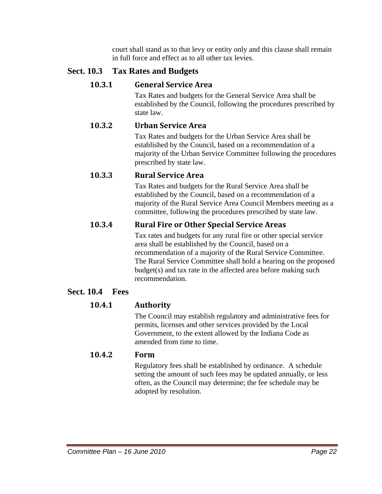court shall stand as to that levy or entity only and this clause shall remain in full force and effect as to all other tax levies.

### **Sect. 10.3 Tax Rates and Budgets**

### **10.3.1 General Service Area**

Tax Rates and budgets for the General Service Area shall be established by the Council, following the procedures prescribed by state law.

### **10.3.2 Urban Service Area**

Tax Rates and budgets for the Urban Service Area shall be established by the Council, based on a recommendation of a majority of the Urban Service Committee following the procedures prescribed by state law.

### **10.3.3 Rural Service Area**

Tax Rates and budgets for the Rural Service Area shall be established by the Council, based on a recommendation of a majority of the Rural Service Area Council Members meeting as a committee, following the procedures prescribed by state law.

### **10.3.4 Rural Fire or Other Special Service Areas**

Tax rates and budgets for any rural fire or other special service area shall be established by the Council, based on a recommendation of a majority of the Rural Service Committee. The Rural Service Committee shall hold a hearing on the proposed budget(s) and tax rate in the affected area before making such recommendation.

### **Sect. 10.4 Fees**

### **10.4.1 Authority**

The Council may establish regulatory and administrative fees for permits, licenses and other services provided by the Local Government, to the extent allowed by the Indiana Code as amended from time to time.

#### **10.4.2 Form**

Regulatory fees shall be established by ordinance. A schedule setting the amount of such fees may be updated annually, or less often, as the Council may determine; the fee schedule may be adopted by resolution.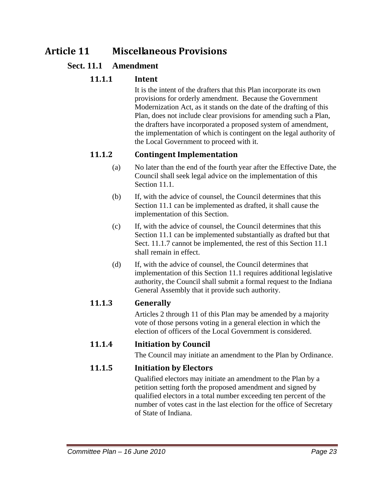# **Article 11 Miscellaneous Provisions**

#### **Sect. 11.1 Amendment**

#### **11.1.1 Intent**

It is the intent of the drafters that this Plan incorporate its own provisions for orderly amendment. Because the Government Modernization Act, as it stands on the date of the drafting of this Plan, does not include clear provisions for amending such a Plan, the drafters have incorporated a proposed system of amendment, the implementation of which is contingent on the legal authority of the Local Government to proceed with it.

#### **11.1.2 Contingent Implementation**

- (a) No later than the end of the fourth year after the Effective Date, the Council shall seek legal advice on the implementation of this Section 11.1.
- (b) If, with the advice of counsel, the Council determines that this Section 11.1 can be implemented as drafted, it shall cause the implementation of this Section.
- (c) If, with the advice of counsel, the Council determines that this Section 11.1 can be implemented substantially as drafted but that Sect. 11.1.7 cannot be implemented, the rest of this Section 11.1 shall remain in effect.
- (d) If, with the advice of counsel, the Council determines that implementation of this Section 11.1 requires additional legislative authority, the Council shall submit a formal request to the Indiana General Assembly that it provide such authority.

#### **11.1.3 Generally**

Articles 2 through 11 of this Plan may be amended by a majority vote of those persons voting in a general election in which the election of officers of the Local Government is considered.

### **11.1.4 Initiation by Council**

The Council may initiate an amendment to the Plan by Ordinance.

### **11.1.5 Initiation by Electors**

Qualified electors may initiate an amendment to the Plan by a petition setting forth the proposed amendment and signed by qualified electors in a total number exceeding ten percent of the number of votes cast in the last election for the office of Secretary of State of Indiana.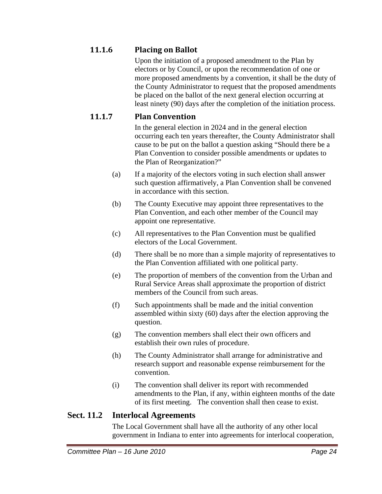### **11.1.6 Placing on Ballot**

Upon the initiation of a proposed amendment to the Plan by electors or by Council, or upon the recommendation of one or more proposed amendments by a convention, it shall be the duty of the County Administrator to request that the proposed amendments be placed on the ballot of the next general election occurring at least ninety (90) days after the completion of the initiation process.

### **11.1.7 Plan Convention**

In the general election in 2024 and in the general election occurring each ten years thereafter, the County Administrator shall cause to be put on the ballot a question asking "Should there be a Plan Convention to consider possible amendments or updates to the Plan of Reorganization?"

- (a) If a majority of the electors voting in such election shall answer such question affirmatively, a Plan Convention shall be convened in accordance with this section.
- (b) The County Executive may appoint three representatives to the Plan Convention, and each other member of the Council may appoint one representative.
- (c) All representatives to the Plan Convention must be qualified electors of the Local Government.
- (d) There shall be no more than a simple majority of representatives to the Plan Convention affiliated with one political party.
- (e) The proportion of members of the convention from the Urban and Rural Service Areas shall approximate the proportion of district members of the Council from such areas.
- (f) Such appointments shall be made and the initial convention assembled within sixty (60) days after the election approving the question.
- (g) The convention members shall elect their own officers and establish their own rules of procedure.
- (h) The County Administrator shall arrange for administrative and research support and reasonable expense reimbursement for the convention.
- (i) The convention shall deliver its report with recommended amendments to the Plan, if any, within eighteen months of the date of its first meeting. The convention shall then cease to exist.

### **Sect. 11.2 Interlocal Agreements**

The Local Government shall have all the authority of any other local government in Indiana to enter into agreements for interlocal cooperation,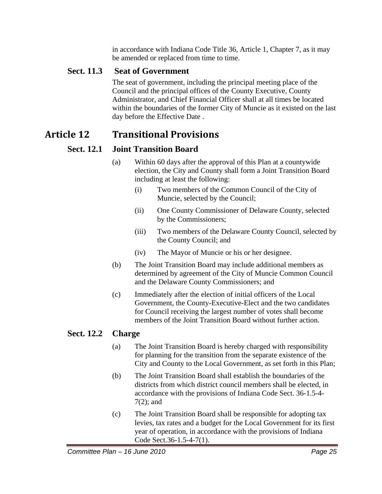in accordance with Indiana Code Title 36, Article 1, Chapter 7, as it may be amended or replaced from time to time.

### **Sect. 11.3 Seat of Government**

The seat of government, including the principal meeting place of the Council and the principal offices of the County Executive, County Administrator, and Chief Financial Officer shall at all times be located within the boundaries of the former City of Muncie as it existed on the last day before the Effective Date .

# **Article 12 Transitional Provisions**

### **Sect. 12.1 Joint Transition Board**

- (a) Within 60 days after the approval of this Plan at a countywide election, the City and County shall form a Joint Transition Board including at least the following:
	- (i) Two members of the Common Council of the City of Muncie, selected by the Council;
	- (ii) One County Commissioner of Delaware County, selected by the Commissioners;
	- (iii) Two members of the Delaware County Council, selected by the County Council; and
	- (iv) The Mayor of Muncie or his or her designee.
- (b) The Joint Transition Board may include additional members as determined by agreement of the City of Muncie Common Council and the Delaware County Commissioners; and
- (c) Immediately after the election of initial officers of the Local Government, the County-Executive-Elect and the two candidates for Council receiving the largest number of votes shall become members of the Joint Transition Board without further action.

### **Sect. 12.2 Charge**

- (a) The Joint Transition Board is hereby charged with responsibility for planning for the transition from the separate existence of the City and County to the Local Government, as set forth in this Plan;
- (b) The Joint Transition Board shall establish the boundaries of the districts from which district council members shall be elected, in accordance with the provisions of Indiana Code Sect. 36-1.5-4- 7(2); and
- (c) The Joint Transition Board shall be responsible for adopting tax levies, tax rates and a budget for the Local Government for its first year of operation, in accordance with the provisions of Indiana Code Sect.36-1.5-4-7(1).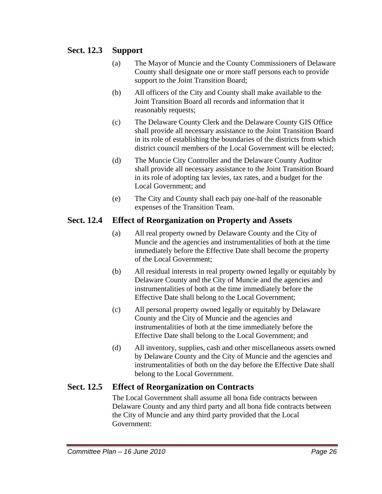### **Sect. 12.3 Support**

- (a) The Mayor of Muncie and the County Commissioners of Delaware County shall designate one or more staff persons each to provide support to the Joint Transition Board;
- (b) All officers of the City and County shall make available to the Joint Transition Board all records and information that it reasonably requests;
- (c) The Delaware County Clerk and the Delaware County GIS Office shall provide all necessary assistance to the Joint Transition Board in its role of establishing the boundaries of the districts from which district council members of the Local Government will be elected;
- (d) The Muncie City Controller and the Delaware County Auditor shall provide all necessary assistance to the Joint Transition Board in its role of adopting tax levies, tax rates, and a budget for the Local Government; and
- (e) The City and County shall each pay one-half of the reasonable expenses of the Transition Team.

### **Sect. 12.4 Effect of Reorganization on Property and Assets**

- (a) All real property owned by Delaware County and the City of Muncie and the agencies and instrumentalities of both at the time immediately before the Effective Date shall become the property of the Local Government;
- (b) All residual interests in real property owned legally or equitably by Delaware County and the City of Muncie and the agencies and instrumentalities of both at the time immediately before the Effective Date shall belong to the Local Government;
- (c) All personal property owned legally or equitably by Delaware County and the City of Muncie and the agencies and instrumentalities of both at the time immediately before the Effective Date shall belong to the Local Government; and
- (d) All inventory, supplies, cash and other miscellaneous assets owned by Delaware County and the City of Muncie and the agencies and instrumentalities of both on the day before the Effective Date shall belong to the Local Government.

### **Sect. 12.5 Effect of Reorganization on Contracts**

The Local Government shall assume all bona fide contracts between Delaware County and any third party and all bona fide contracts between the City of Muncie and any third party provided that the Local Government: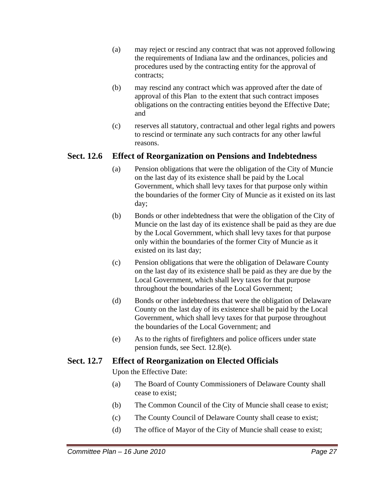- (a) may reject or rescind any contract that was not approved following the requirements of Indiana law and the ordinances, policies and procedures used by the contracting entity for the approval of contracts;
- (b) may rescind any contract which was approved after the date of approval of this Plan to the extent that such contract imposes obligations on the contracting entities beyond the Effective Date; and
- (c) reserves all statutory, contractual and other legal rights and powers to rescind or terminate any such contracts for any other lawful reasons.

#### **Sect. 12.6 Effect of Reorganization on Pensions and Indebtedness**

- (a) Pension obligations that were the obligation of the City of Muncie on the last day of its existence shall be paid by the Local Government, which shall levy taxes for that purpose only within the boundaries of the former City of Muncie as it existed on its last day;
- (b) Bonds or other indebtedness that were the obligation of the City of Muncie on the last day of its existence shall be paid as they are due by the Local Government, which shall levy taxes for that purpose only within the boundaries of the former City of Muncie as it existed on its last day;
- (c) Pension obligations that were the obligation of Delaware County on the last day of its existence shall be paid as they are due by the Local Government, which shall levy taxes for that purpose throughout the boundaries of the Local Government;
- (d) Bonds or other indebtedness that were the obligation of Delaware County on the last day of its existence shall be paid by the Local Government, which shall levy taxes for that purpose throughout the boundaries of the Local Government; and
- (e) As to the rights of firefighters and police officers under state pension funds, see Sect. 12.8(e).

#### **Sect. 12.7 Effect of Reorganization on Elected Officials**

Upon the Effective Date:

- (a) The Board of County Commissioners of Delaware County shall cease to exist;
- (b) The Common Council of the City of Muncie shall cease to exist;
- (c) The County Council of Delaware County shall cease to exist;
- (d) The office of Mayor of the City of Muncie shall cease to exist;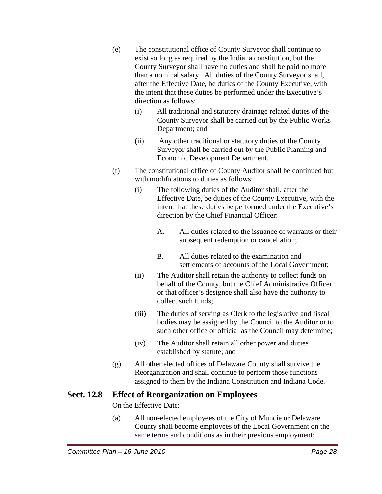- (e) The constitutional office of County Surveyor shall continue to exist so long as required by the Indiana constitution, but the County Surveyor shall have no duties and shall be paid no more than a nominal salary. All duties of the County Surveyor shall, after the Effective Date, be duties of the County Executive, with the intent that these duties be performed under the Executive's direction as follows:
	- (i) All traditional and statutory drainage related duties of the County Surveyor shall be carried out by the Public Works Department; and
	- (ii) Any other traditional or statutory duties of the County Surveyor shall be carried out by the Public Planning and Economic Development Department.
- (f) The constitutional office of County Auditor shall be continued but with modifications to duties as follows:
	- (i) The following duties of the Auditor shall, after the Effective Date, be duties of the County Executive, with the intent that these duties be performed under the Executive's direction by the Chief Financial Officer:
		- A. All duties related to the issuance of warrants or their subsequent redemption or cancellation;
		- B. All duties related to the examination and settlements of accounts of the Local Government;
	- (ii) The Auditor shall retain the authority to collect funds on behalf of the County, but the Chief Administrative Officer or that officer's designee shall also have the authority to collect such funds;
	- (iii) The duties of serving as Clerk to the legislative and fiscal bodies may be assigned by the Council to the Auditor or to such other office or official as the Council may determine;
	- (iv) The Auditor shall retain all other power and duties established by statute; and
- (g) All other elected offices of Delaware County shall survive the Reorganization and shall continue to perform those functions assigned to them by the Indiana Constitution and Indiana Code.

### **Sect. 12.8 Effect of Reorganization on Employees**

On the Effective Date:

(a) All non-elected employees of the City of Muncie or Delaware County shall become employees of the Local Government on the same terms and conditions as in their previous employment;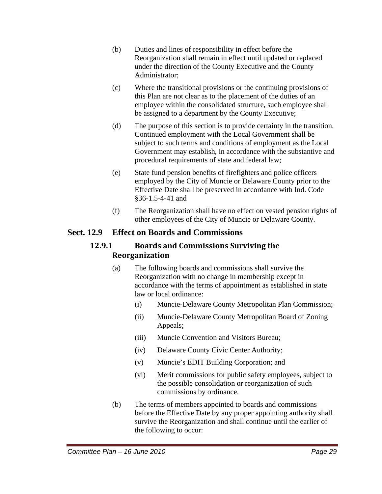- (b) Duties and lines of responsibility in effect before the Reorganization shall remain in effect until updated or replaced under the direction of the County Executive and the County Administrator;
- (c) Where the transitional provisions or the continuing provisions of this Plan are not clear as to the placement of the duties of an employee within the consolidated structure, such employee shall be assigned to a department by the County Executive;
- (d) The purpose of this section is to provide certainty in the transition. Continued employment with the Local Government shall be subject to such terms and conditions of employment as the Local Government may establish, in accordance with the substantive and procedural requirements of state and federal law;
- (e) State fund pension benefits of firefighters and police officers employed by the City of Muncie or Delaware County prior to the Effective Date shall be preserved in accordance with Ind. Code §36-1.5-4-41 and
- (f) The Reorganization shall have no effect on vested pension rights of other employees of the City of Muncie or Delaware County.

#### **Sect. 12.9 Effect on Boards and Commissions**

#### **12.9.1 Boards and Commissions Surviving the Reorganization**

- (a) The following boards and commissions shall survive the Reorganization with no change in membership except in accordance with the terms of appointment as established in state law or local ordinance:
	- (i) Muncie-Delaware County Metropolitan Plan Commission;
	- (ii) Muncie-Delaware County Metropolitan Board of Zoning Appeals;
	- (iii) Muncie Convention and Visitors Bureau;
	- (iv) Delaware County Civic Center Authority;
	- (v) Muncie's EDIT Building Corporation; and
	- (vi) Merit commissions for public safety employees, subject to the possible consolidation or reorganization of such commissions by ordinance.
- (b) The terms of members appointed to boards and commissions before the Effective Date by any proper appointing authority shall survive the Reorganization and shall continue until the earlier of the following to occur: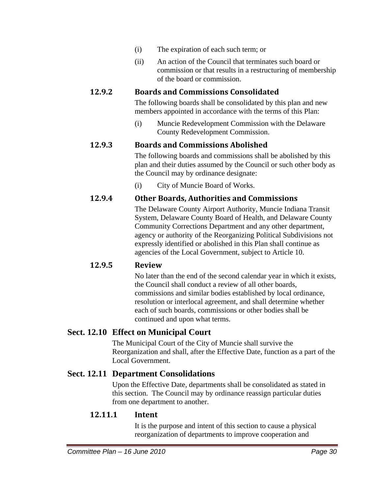- (i) The expiration of each such term; or
- (ii) An action of the Council that terminates such board or commission or that results in a restructuring of membership of the board or commission.

#### **12.9.2 Boards and Commissions Consolidated**

The following boards shall be consolidated by this plan and new members appointed in accordance with the terms of this Plan:

(i) Muncie Redevelopment Commission with the Delaware County Redevelopment Commission.

#### **12.9.3 Boards and Commissions Abolished**

The following boards and commissions shall be abolished by this plan and their duties assumed by the Council or such other body as the Council may by ordinance designate:

(i) City of Muncie Board of Works.

### **12.9.4 Other Boards, Authorities and Commissions**

The Delaware County Airport Authority, Muncie Indiana Transit System, Delaware County Board of Health, and Delaware County Community Corrections Department and any other department, agency or authority of the Reorganizing Political Subdivisions not expressly identified or abolished in this Plan shall continue as agencies of the Local Government, subject to Article 10.

#### **12.9.5 Review**

No later than the end of the second calendar year in which it exists, the Council shall conduct a review of all other boards, commissions and similar bodies established by local ordinance, resolution or interlocal agreement, and shall determine whether each of such boards, commissions or other bodies shall be continued and upon what terms.

### **Sect. 12.10 Effect on Municipal Court**

The Municipal Court of the City of Muncie shall survive the Reorganization and shall, after the Effective Date, function as a part of the Local Government.

#### **Sect. 12.11 Department Consolidations**

Upon the Effective Date, departments shall be consolidated as stated in this section. The Council may by ordinance reassign particular duties from one department to another.

#### **12.11.1 Intent**

It is the purpose and intent of this section to cause a physical reorganization of departments to improve cooperation and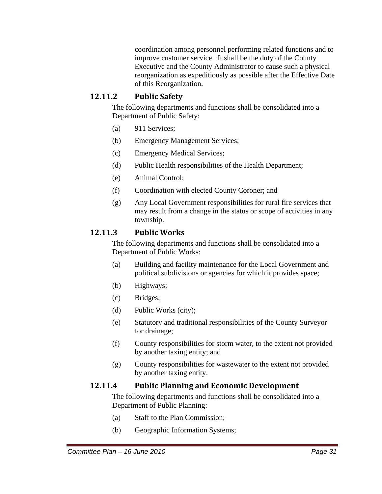coordination among personnel performing related functions and to improve customer service. It shall be the duty of the County Executive and the County Administrator to cause such a physical reorganization as expeditiously as possible after the Effective Date of this Reorganization.

### **12.11.2 Public Safety**

The following departments and functions shall be consolidated into a Department of Public Safety:

- (a) 911 Services;
- (b) Emergency Management Services;
- (c) Emergency Medical Services;
- (d) Public Health responsibilities of the Health Department;
- (e) Animal Control;
- (f) Coordination with elected County Coroner; and
- (g) Any Local Government responsibilities for rural fire services that may result from a change in the status or scope of activities in any township.

### **12.11.3 Public Works**

The following departments and functions shall be consolidated into a Department of Public Works:

- (a) Building and facility maintenance for the Local Government and political subdivisions or agencies for which it provides space;
- (b) Highways;
- (c) Bridges;
- (d) Public Works (city);
- (e) Statutory and traditional responsibilities of the County Surveyor for drainage;
- (f) County responsibilities for storm water, to the extent not provided by another taxing entity; and
- (g) County responsibilities for wastewater to the extent not provided by another taxing entity.

#### **12.11.4 Public Planning and Economic Development**

The following departments and functions shall be consolidated into a Department of Public Planning:

- (a) Staff to the Plan Commission;
- (b) Geographic Information Systems;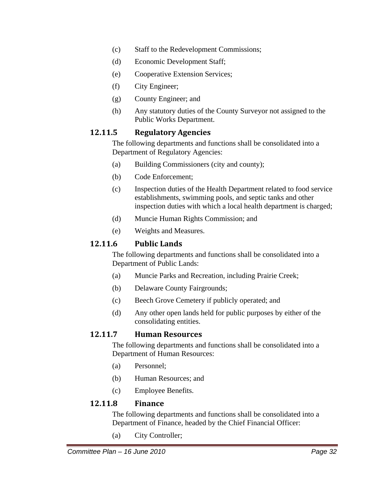- (c) Staff to the Redevelopment Commissions;
- (d) Economic Development Staff;
- (e) Cooperative Extension Services;
- (f) City Engineer;
- (g) County Engineer; and
- (h) Any statutory duties of the County Surveyor not assigned to the Public Works Department.

### **12.11.5 Regulatory Agencies**

The following departments and functions shall be consolidated into a Department of Regulatory Agencies:

- (a) Building Commissioners (city and county);
- (b) Code Enforcement;
- (c) Inspection duties of the Health Department related to food service establishments, swimming pools, and septic tanks and other inspection duties with which a local health department is charged;
- (d) Muncie Human Rights Commission; and
- (e) Weights and Measures.

### **12.11.6 Public Lands**

The following departments and functions shall be consolidated into a Department of Public Lands:

- (a) Muncie Parks and Recreation, including Prairie Creek;
- (b) Delaware County Fairgrounds;
- (c) Beech Grove Cemetery if publicly operated; and
- (d) Any other open lands held for public purposes by either of the consolidating entities.

### **12.11.7 Human Resources**

The following departments and functions shall be consolidated into a Department of Human Resources:

- (a) Personnel;
- (b) Human Resources; and
- (c) Employee Benefits.

### **12.11.8 Finance**

The following departments and functions shall be consolidated into a Department of Finance, headed by the Chief Financial Officer:

(a) City Controller;